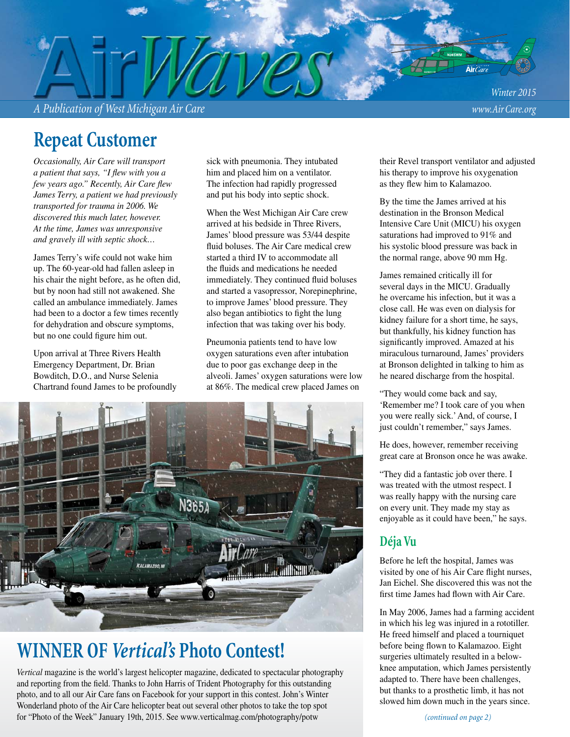*A Publication of West Michigan Air Care www.Air Care.org*

*Winter 2015*

# **Repeat Customer**

*Occasionally, Air Care will transport a patient that says, "I flew with you a few years ago.*" Recently, Air Care flew *James Terry, a patient we had previously transported for trauma in 2006. We discovered this much later, however. At the time, James was unresponsive and gravely ill with septic shock…*

James Terry's wife could not wake him up. The 60-year-old had fallen asleep in his chair the night before, as he often did, but by noon had still not awakened. She called an ambulance immediately. James had been to a doctor a few times recently for dehydration and obscure symptoms, but no one could figure him out.

Upon arrival at Three Rivers Health Emergency Department, Dr. Brian Bowditch, D.O., and Nurse Selenia Chartrand found James to be profoundly

sick with pneumonia. They intubated him and placed him on a ventilator. The infection had rapidly progressed and put his body into septic shock.

When the West Michigan Air Care crew arrived at his bedside in Three Rivers, James' blood pressure was 53/44 despite fluid boluses. The Air Care medical crew started a third IV to accommodate all the fluids and medications he needed immediately. They continued fluid boluses and started a vasopressor, Norepinephrine, to improve James' blood pressure. They also began antibiotics to fight the lung infection that was taking over his body.

Pneumonia patients tend to have low oxygen saturations even after intubation due to poor gas exchange deep in the alveoli. James' oxygen saturations were low at 86%. The medical crew placed James on



## **WINNER OF** *Vertical's* **Photo Contest!**

*Vertical* magazine is the world's largest helicopter magazine, dedicated to spectacular photography and reporting from the field. Thanks to John Harris of Trident Photography for this outstanding photo, and to all our Air Care fans on Facebook for your support in this contest. John's Winter Wonderland photo of the Air Care helicopter beat out several other photos to take the top spot for "Photo of the Week" January 19th, 2015. See www.verticalmag.com/photography/potw

their Revel transport ventilator and adjusted his therapy to improve his oxygenation as they flew him to Kalamazoo.

By the time the James arrived at his destination in the Bronson Medical Intensive Care Unit (MICU) his oxygen saturations had improved to 91% and his systolic blood pressure was back in the normal range, above 90 mm Hg.

James remained critically ill for several days in the MICU. Gradually he overcame his infection, but it was a close call. He was even on dialysis for kidney failure for a short time, he says, but thankfully, his kidney function has significantly improved. Amazed at his miraculous turnaround, James' providers at Bronson delighted in talking to him as he neared discharge from the hospital.

"They would come back and say, 'Remember me? I took care of you when you were really sick.' And, of course, I just couldn't remember," says James.

He does, however, remember receiving great care at Bronson once he was awake.

"They did a fantastic job over there. I was treated with the utmost respect. I was really happy with the nursing care on every unit. They made my stay as enjoyable as it could have been," he says.

### **Déja Vu**

Before he left the hospital, James was visited by one of his Air Care flight nurses, Jan Eichel. She discovered this was not the first time James had flown with Air Care.

In May 2006, James had a farming accident in which his leg was injured in a rototiller. He freed himself and placed a tourniquet before being flown to Kalamazoo. Eight surgeries ultimately resulted in a belowknee amputation, which James persistently adapted to. There have been challenges, but thanks to a prosthetic limb, it has not slowed him down much in the years since.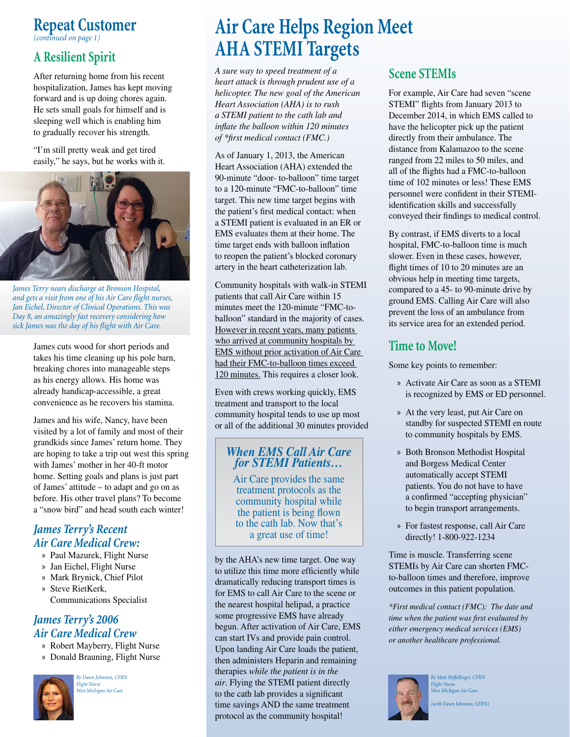### **Repeat Customer** *(continued on page 1)*

**A Resilient Spirit**

After returning home from his recent hospitalization, James has kept moving forward and is up doing chores again. He sets small goals for himself and is sleeping well which is enabling him to gradually recover his strength.

"I'm still pretty weak and get tired easily," he says, but he works with it.



*James Terry nears discharge at Bronson Hospital,*  and gets a visit from one of his Air Care flight nurses, *Jan Eichel, Director of Clinical Operations. This was Day 8, an amazingly fast recovery considering how*  sick James was the day of his flight with Air Care.

James cuts wood for short periods and takes his time cleaning up his pole barn, breaking chores into manageable steps as his energy allows. His home was already handicap-accessible, a great convenience as he recovers his stamina.

James and his wife, Nancy, have been visited by a lot of family and most of their grandkids since James' return home. They are hoping to take a trip out west this spring with James' mother in her 40-ft motor home. Setting goals and plans is just part of James' attitude – to adapt and go on as before. His other travel plans? To become a "snow bird" and head south each winter!

### *James Terry's Recent Air Care Medical Crew:*

- » Paul Mazurek, Flight Nurse
- » Jan Eichel, Flight Nurse
- » Mark Brynick, Chief Pilot
- » Steve RietKerk, Communications Specialist

### *James Terry's 2006 Air Care Medical Crew*

- » Robert Mayberry, Flight Nurse
- » Donald Brauning, Flight Nurse



*By Dawn Johnston, CFRN Flight Nurse West Michigan Air Care*

# **Air Care Helps Region Meet AHA STEMI Targets**

*A sure way to speed treatment of a heart attack is through prudent use of a helicopter. The new goal of the American Heart Association (AHA) is to rush a STEMI patient to the cath lab and infl ate the balloon within 120 minutes of \*fi rst medical contact (FMC.)* 

As of January 1, 2013, the American Heart Association (AHA) extended the 90-minute "door- to-balloon" time target to a 120-minute "FMC-to-balloon" time target. This new time target begins with the patient's first medical contact: when a STEMI patient is evaluated in an ER or EMS evaluates them at their home. The time target ends with balloon inflation to reopen the patient's blocked coronary artery in the heart catheterization lab.

Community hospitals with walk-in STEMI patients that call Air Care within 15 minutes meet the 120-minute "FMC-toballoon" standard in the majority of cases. However in recent years, many patients who arrived at community hospitals by EMS without prior activation of Air Care had their FMC-to-balloon times exceed 120 minutes. This requires a closer look.

Even with crews working quickly, EMS treatment and transport to the local community hospital tends to use up most or all of the additional 30 minutes provided

### *When EMS Call Air Care for STEMI Patients…*

Air Care provides the same treatment protocols as the community hospital while the patient is being flown to the cath lab. Now that's a great use of time!

by the AHA's new time target. One way to utilize this time more efficiently while dramatically reducing transport times is for EMS to call Air Care to the scene or the nearest hospital helipad, a practice some progressive EMS have already begun. After activation of Air Care, EMS can start IVs and provide pain control. Upon landing Air Care loads the patient, then administers Heparin and remaining therapies *while the patient is in the air*. Flying the STEMI patient directly to the cath lab provides a significant time savings AND the same treatment protocol as the community hospital!

## **Scene STEMIs**

For example, Air Care had seven "scene STEMI" flights from January 2013 to December 2014, in which EMS called to have the helicopter pick up the patient directly from their ambulance. The distance from Kalamazoo to the scene ranged from 22 miles to 50 miles, and all of the flights had a FMC-to-balloon time of 102 minutes or less! These EMS personnel were confident in their STEMIidentification skills and successfully conveyed their findings to medical control.

By contrast, if EMS diverts to a local hospital, FMC-to-balloon time is much slower. Even in these cases, however, flight times of 10 to 20 minutes are an obvious help in meeting time targets, compared to a 45- to 90-minute drive by ground EMS. Calling Air Care will also prevent the loss of an ambulance from its service area for an extended period.

## **Time to Move!**

Some key points to remember:

- » Activate Air Care as soon as a STEMI is recognized by EMS or ED personnel.
- » At the very least, put Air Care on standby for suspected STEMI en route to community hospitals by EMS.
- » Both Bronson Methodist Hospital and Borgess Medical Center automatically accept STEMI patients. You do not have to have a confirmed "accepting physician" to begin transport arrangements.
- » For fastest response, call Air Care directly! 1-800-922-1234

Time is muscle. Transferring scene STEMIs by Air Care can shorten FMCto-balloon times and therefore, improve outcomes in this patient population.

*\*First medical contact (FMC): The date and time when the patient was first evaluated by either emergency medical services (EMS) or another healthcare professional.*



**By Matt Heffelfinger, CFRN** *Flight Nurse West Michigan Air Care*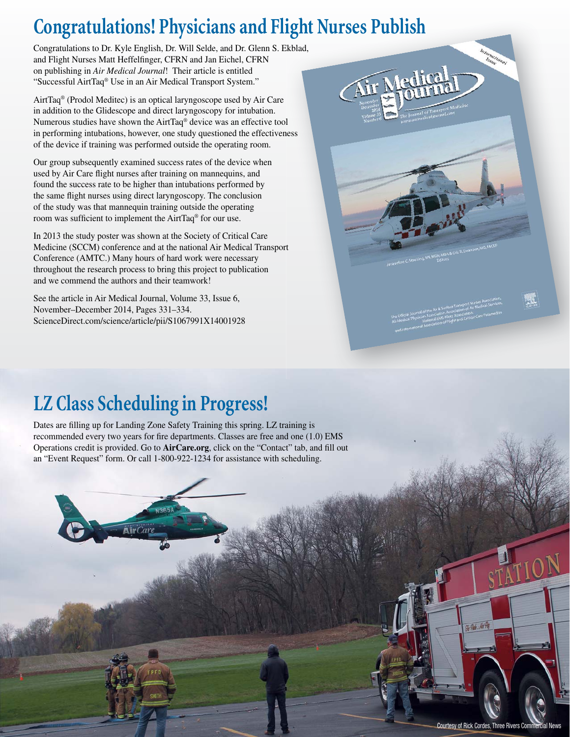# **Congratulations! Physicians and Flight Nurses Publish ight**

Congratulations to Dr. Kyle English, Dr. Will Selde, and Dr. Glenn S. Ekblad, and Flight Nurses Matt Heffelfinger, CFRN and Jan Eichel, CFRN on publishing in *Air Medical Journal*! Their article is entitled "Successful AirtTaq® Use in an Air Medical Transport System."

AirtTaq® (Prodol Meditec) is an optical laryngoscope used by Air Care in addition to the Glidescope and direct laryngoscopy for intubation. Numerous studies have shown the AirtTaq<sup>®</sup> device was an effective tool in performing intubations, however, one study questioned the effectiveness of the device if training was performed outside the operating room.

Our group subsequently examined success rates of the device when used by Air Care flight nurses after training on mannequins, and found the success rate to be higher than intubations performed by the same flight nurses using direct laryngoscopy. The conclusion of the study was that mannequin training outside the operating room was sufficient to implement the AirtTaq<sup>®</sup> for our use.

In 2013 the study poster was shown at the Society of Critical Care Medicine (SCCM) conference and at the national Air Medical Transport tConference (AMTC.) Many hours of hard work were necessary throughout the research process to bring this project to publication and we commend the authors and their teamwork!

See the article in Air Medical Journal, Volume 33, Issue 6, November–December 2014, Pages 331–334. ScienceDirect.com/science/article/pii/S1067991X14001928



# **LZ Class Scheduling in Progress!**

Dates are filling up for Landing Zone Safety Training this spring. LZ training is recommended every two years for fire departments. Classes are free and one  $(1.0)$  EMS Operations credit is provided. Go to **AirCare.org**, click on the "Contact" tab, and fill out an "Event Request" form. Or call 1-800-922-1234 for assistance with scheduling.